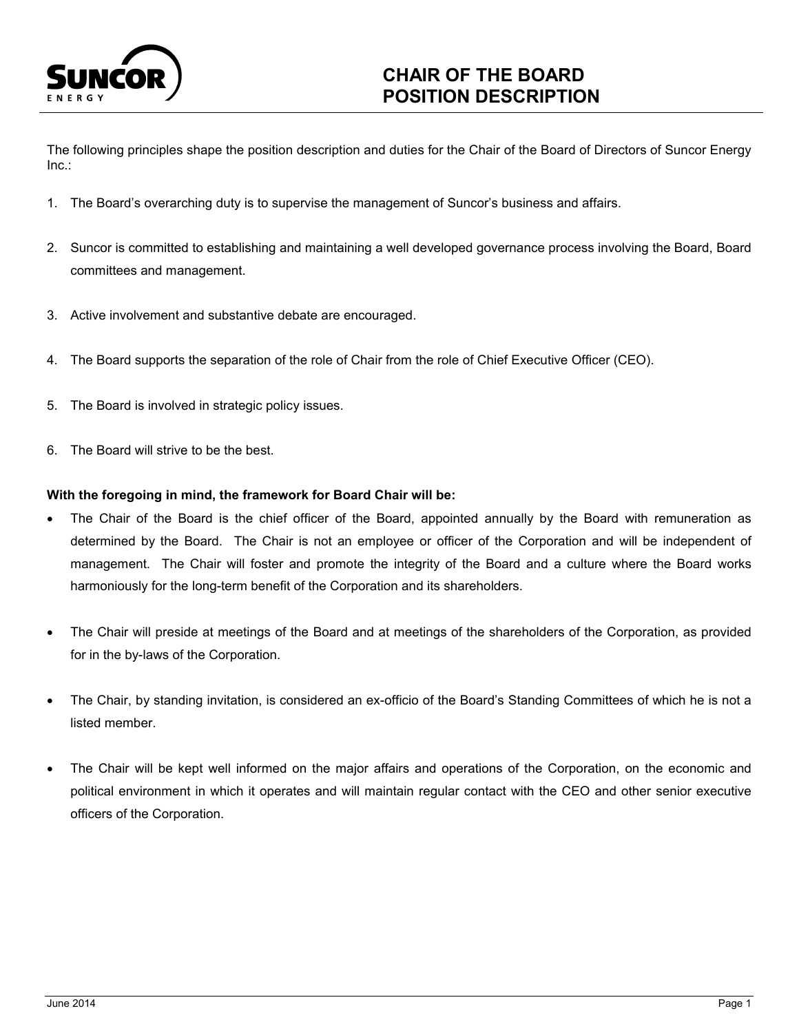

# **CHAIR OF THE BOARD POSITION DESCRIPTION**

The following principles shape the position description and duties for the Chair of the Board of Directors of Suncor Energy Inc.:

- 1. The Board's overarching duty is to supervise the management of Suncor's business and affairs.
- 2. Suncor is committed to establishing and maintaining a well developed governance process involving the Board, Board committees and management.
- 3. Active involvement and substantive debate are encouraged.
- 4. The Board supports the separation of the role of Chair from the role of Chief Executive Officer (CEO).
- 5. The Board is involved in strategic policy issues.
- 6. The Board will strive to be the best.

## **With the foregoing in mind, the framework for Board Chair will be:**

- The Chair of the Board is the chief officer of the Board, appointed annually by the Board with remuneration as determined by the Board. The Chair is not an employee or officer of the Corporation and will be independent of management. The Chair will foster and promote the integrity of the Board and a culture where the Board works harmoniously for the long-term benefit of the Corporation and its shareholders.
- The Chair will preside at meetings of the Board and at meetings of the shareholders of the Corporation, as provided for in the by-laws of the Corporation.
- The Chair, by standing invitation, is considered an ex-officio of the Board's Standing Committees of which he is not a listed member.
- The Chair will be kept well informed on the major affairs and operations of the Corporation, on the economic and political environment in which it operates and will maintain regular contact with the CEO and other senior executive officers of the Corporation.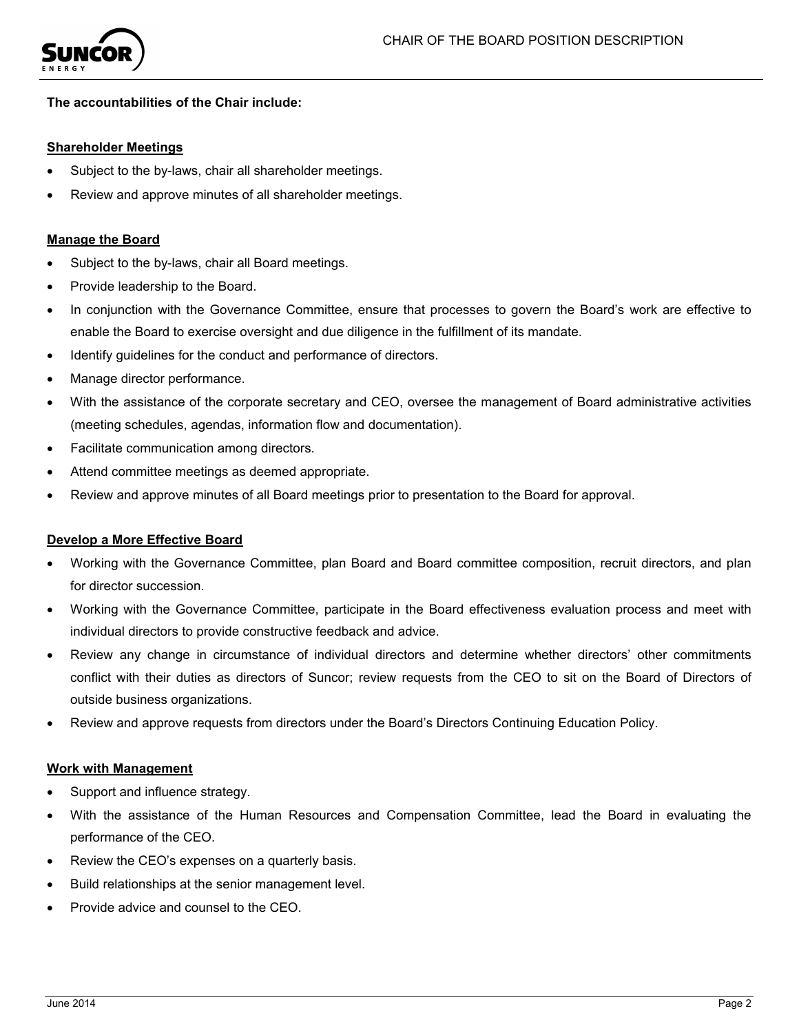

## **The accountabilities of the Chair include:**

#### **Shareholder Meetings**

- Subject to the by-laws, chair all shareholder meetings.
- Review and approve minutes of all shareholder meetings.

#### **Manage the Board**

- Subject to the by-laws, chair all Board meetings.
- Provide leadership to the Board.
- In conjunction with the Governance Committee, ensure that processes to govern the Board's work are effective to enable the Board to exercise oversight and due diligence in the fulfillment of its mandate.
- Identify guidelines for the conduct and performance of directors.
- Manage director performance.
- With the assistance of the corporate secretary and CEO, oversee the management of Board administrative activities (meeting schedules, agendas, information flow and documentation).
- Facilitate communication among directors.
- Attend committee meetings as deemed appropriate.
- Review and approve minutes of all Board meetings prior to presentation to the Board for approval.

#### **Develop a More Effective Board**

- Working with the Governance Committee, plan Board and Board committee composition, recruit directors, and plan for director succession.
- Working with the Governance Committee, participate in the Board effectiveness evaluation process and meet with individual directors to provide constructive feedback and advice.
- Review any change in circumstance of individual directors and determine whether directors' other commitments conflict with their duties as directors of Suncor; review requests from the CEO to sit on the Board of Directors of outside business organizations.
- Review and approve requests from directors under the Board's Directors Continuing Education Policy.

#### **Work with Management**

- Support and influence strategy.
- With the assistance of the Human Resources and Compensation Committee, lead the Board in evaluating the performance of the CEO.
- Review the CEO's expenses on a quarterly basis.
- Build relationships at the senior management level.
- Provide advice and counsel to the CEO.